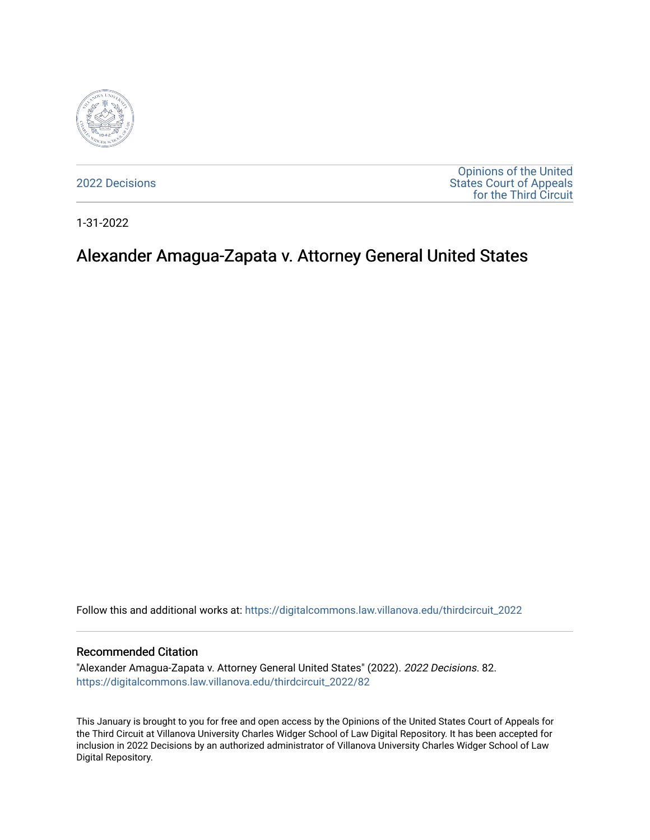

[2022 Decisions](https://digitalcommons.law.villanova.edu/thirdcircuit_2022)

[Opinions of the United](https://digitalcommons.law.villanova.edu/thirdcircuit)  [States Court of Appeals](https://digitalcommons.law.villanova.edu/thirdcircuit)  [for the Third Circuit](https://digitalcommons.law.villanova.edu/thirdcircuit) 

1-31-2022

# Alexander Amagua-Zapata v. Attorney General United States

Follow this and additional works at: [https://digitalcommons.law.villanova.edu/thirdcircuit\\_2022](https://digitalcommons.law.villanova.edu/thirdcircuit_2022?utm_source=digitalcommons.law.villanova.edu%2Fthirdcircuit_2022%2F82&utm_medium=PDF&utm_campaign=PDFCoverPages) 

#### Recommended Citation

"Alexander Amagua-Zapata v. Attorney General United States" (2022). 2022 Decisions. 82. [https://digitalcommons.law.villanova.edu/thirdcircuit\\_2022/82](https://digitalcommons.law.villanova.edu/thirdcircuit_2022/82?utm_source=digitalcommons.law.villanova.edu%2Fthirdcircuit_2022%2F82&utm_medium=PDF&utm_campaign=PDFCoverPages)

This January is brought to you for free and open access by the Opinions of the United States Court of Appeals for the Third Circuit at Villanova University Charles Widger School of Law Digital Repository. It has been accepted for inclusion in 2022 Decisions by an authorized administrator of Villanova University Charles Widger School of Law Digital Repository.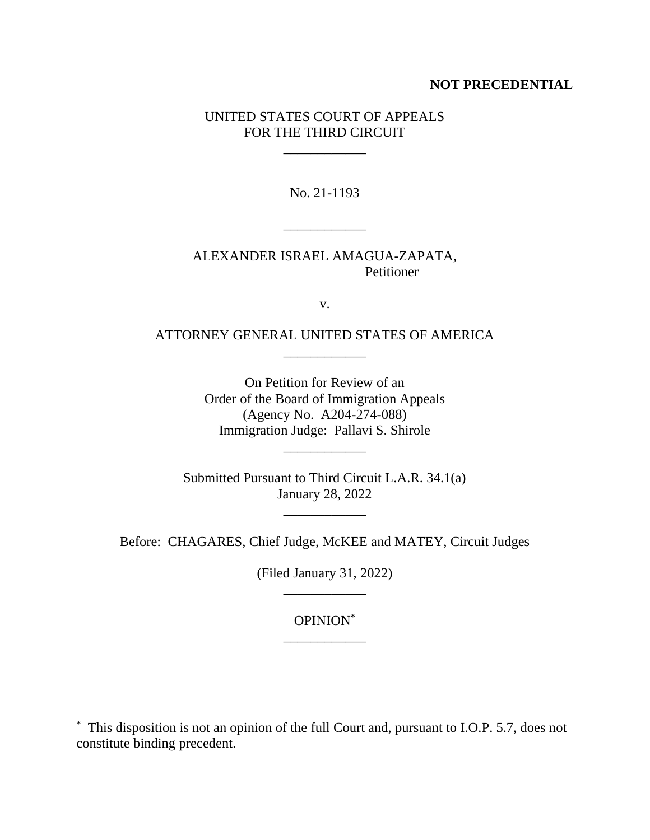## **NOT PRECEDENTIAL**

## UNITED STATES COURT OF APPEALS FOR THE THIRD CIRCUIT

\_\_\_\_\_\_\_\_\_\_\_\_

No. 21-1193

\_\_\_\_\_\_\_\_\_\_\_\_

ALEXANDER ISRAEL AMAGUA-ZAPATA, Petitioner

v.

ATTORNEY GENERAL UNITED STATES OF AMERICA \_\_\_\_\_\_\_\_\_\_\_\_

> On Petition for Review of an Order of the Board of Immigration Appeals (Agency No. A204-274-088) Immigration Judge: Pallavi S. Shirole

> > \_\_\_\_\_\_\_\_\_\_\_\_

Submitted Pursuant to Third Circuit L.A.R. 34.1(a) January 28, 2022

\_\_\_\_\_\_\_\_\_\_\_\_

Before: CHAGARES, Chief Judge, McKEE and MATEY, Circuit Judges

(Filed January 31, 2022) \_\_\_\_\_\_\_\_\_\_\_\_

> OPINION\* \_\_\_\_\_\_\_\_\_\_\_\_

<sup>\*</sup> This disposition is not an opinion of the full Court and, pursuant to I.O.P. 5.7, does not constitute binding precedent.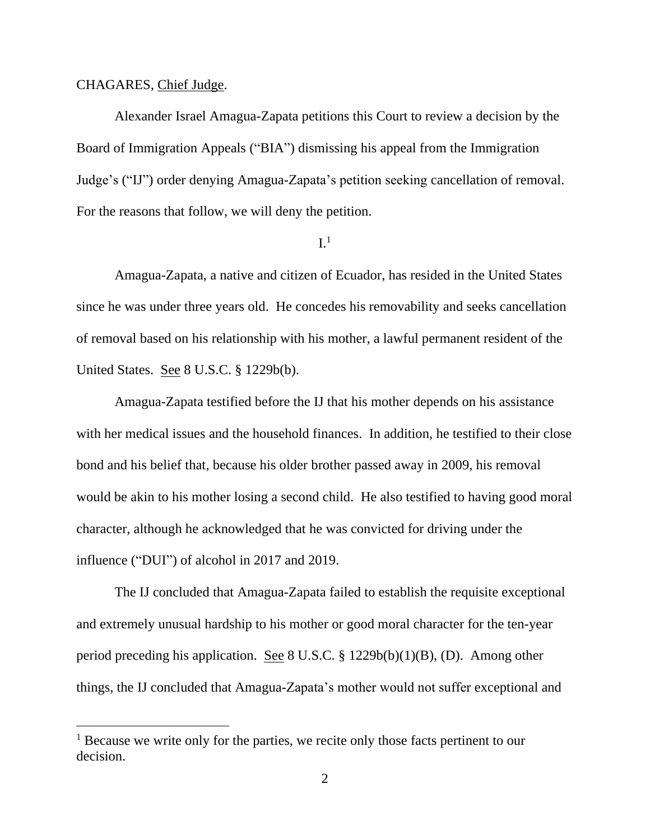#### CHAGARES, Chief Judge.

Alexander Israel Amagua-Zapata petitions this Court to review a decision by the Board of Immigration Appeals ("BIA") dismissing his appeal from the Immigration Judge's ("IJ") order denying Amagua-Zapata's petition seeking cancellation of removal. For the reasons that follow, we will deny the petition.

## $I<sup>1</sup>$

Amagua-Zapata, a native and citizen of Ecuador, has resided in the United States since he was under three years old. He concedes his removability and seeks cancellation of removal based on his relationship with his mother, a lawful permanent resident of the United States. See 8 U.S.C. § 1229b(b).

Amagua-Zapata testified before the IJ that his mother depends on his assistance with her medical issues and the household finances. In addition, he testified to their close bond and his belief that, because his older brother passed away in 2009, his removal would be akin to his mother losing a second child. He also testified to having good moral character, although he acknowledged that he was convicted for driving under the influence ("DUI") of alcohol in 2017 and 2019.

The IJ concluded that Amagua-Zapata failed to establish the requisite exceptional and extremely unusual hardship to his mother or good moral character for the ten-year period preceding his application. See 8 U.S.C.  $\S$  1229b(b)(1)(B), (D). Among other things, the IJ concluded that Amagua-Zapata's mother would not suffer exceptional and

<sup>&</sup>lt;sup>1</sup> Because we write only for the parties, we recite only those facts pertinent to our decision.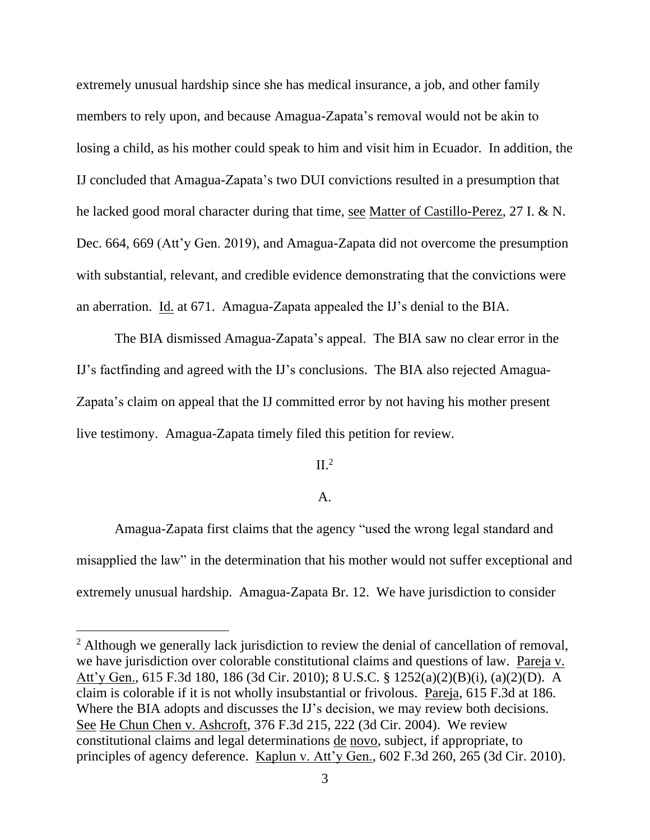extremely unusual hardship since she has medical insurance, a job, and other family members to rely upon, and because Amagua-Zapata's removal would not be akin to losing a child, as his mother could speak to him and visit him in Ecuador. In addition, the IJ concluded that Amagua-Zapata's two DUI convictions resulted in a presumption that he lacked good moral character during that time, see Matter of Castillo-Perez, 27 I. & N. Dec. 664, 669 (Att'y Gen. 2019), and Amagua-Zapata did not overcome the presumption with substantial, relevant, and credible evidence demonstrating that the convictions were an aberration. Id. at 671. Amagua-Zapata appealed the IJ's denial to the BIA.

The BIA dismissed Amagua-Zapata's appeal. The BIA saw no clear error in the IJ's factfinding and agreed with the IJ's conclusions. The BIA also rejected Amagua-Zapata's claim on appeal that the IJ committed error by not having his mother present live testimony. Amagua-Zapata timely filed this petition for review.

 $II^2$ 

### A.

Amagua-Zapata first claims that the agency "used the wrong legal standard and misapplied the law" in the determination that his mother would not suffer exceptional and extremely unusual hardship. Amagua-Zapata Br. 12. We have jurisdiction to consider

<sup>&</sup>lt;sup>2</sup> Although we generally lack jurisdiction to review the denial of cancellation of removal, we have jurisdiction over colorable constitutional claims and questions of law. Pareja v. Att'y Gen., 615 F.3d 180, 186 (3d Cir. 2010); 8 U.S.C. § 1252(a)(2)(B)(i), (a)(2)(D). A claim is colorable if it is not wholly insubstantial or frivolous. Pareja, 615 F.3d at 186. Where the BIA adopts and discusses the IJ's decision, we may review both decisions. See He Chun Chen v. Ashcroft, 376 F.3d 215, 222 (3d Cir. 2004). We review constitutional claims and legal determinations de novo, subject, if appropriate, to principles of agency deference. Kaplun v. Att'y Gen., 602 F.3d 260, 265 (3d Cir. 2010).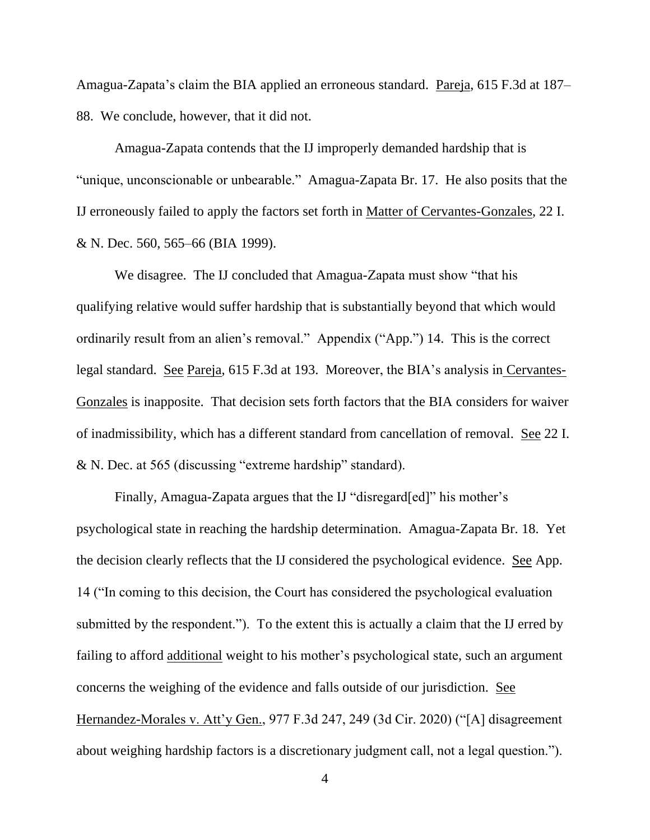Amagua-Zapata's claim the BIA applied an erroneous standard. Pareja, 615 F.3d at 187– 88. We conclude, however, that it did not.

Amagua-Zapata contends that the IJ improperly demanded hardship that is "unique, unconscionable or unbearable." Amagua-Zapata Br. 17. He also posits that the IJ erroneously failed to apply the factors set forth in Matter of Cervantes-Gonzales, 22 I. & N. Dec. 560, 565–66 (BIA 1999).

We disagree. The IJ concluded that Amagua-Zapata must show "that his qualifying relative would suffer hardship that is substantially beyond that which would ordinarily result from an alien's removal." Appendix ("App.") 14. This is the correct legal standard. See Pareja, 615 F.3d at 193. Moreover, the BIA's analysis in Cervantes-Gonzales is inapposite. That decision sets forth factors that the BIA considers for waiver of inadmissibility, which has a different standard from cancellation of removal. See 22 I. & N. Dec. at 565 (discussing "extreme hardship" standard).

Finally, Amagua-Zapata argues that the IJ "disregard[ed]" his mother's psychological state in reaching the hardship determination. Amagua-Zapata Br. 18. Yet the decision clearly reflects that the IJ considered the psychological evidence. See App. 14 ("In coming to this decision, the Court has considered the psychological evaluation submitted by the respondent."). To the extent this is actually a claim that the IJ erred by failing to afford additional weight to his mother's psychological state, such an argument concerns the weighing of the evidence and falls outside of our jurisdiction. See Hernandez-Morales v. Att'y Gen., 977 F.3d 247, 249 (3d Cir. 2020) ("[A] disagreement about weighing hardship factors is a discretionary judgment call, not a legal question.").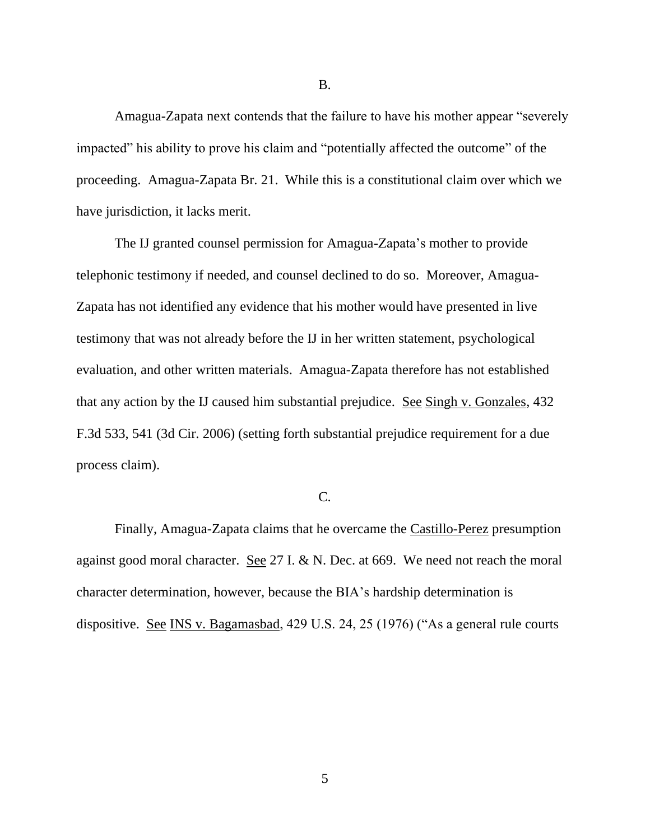Amagua-Zapata next contends that the failure to have his mother appear "severely impacted" his ability to prove his claim and "potentially affected the outcome" of the proceeding. Amagua-Zapata Br. 21. While this is a constitutional claim over which we have jurisdiction, it lacks merit.

The IJ granted counsel permission for Amagua-Zapata's mother to provide telephonic testimony if needed, and counsel declined to do so. Moreover, Amagua-Zapata has not identified any evidence that his mother would have presented in live testimony that was not already before the IJ in her written statement, psychological evaluation, and other written materials. Amagua-Zapata therefore has not established that any action by the IJ caused him substantial prejudice. See Singh v. Gonzales, 432 F.3d 533, 541 (3d Cir. 2006) (setting forth substantial prejudice requirement for a due process claim).

## C.

Finally, Amagua-Zapata claims that he overcame the Castillo-Perez presumption against good moral character. See 27 I. & N. Dec. at 669. We need not reach the moral character determination, however, because the BIA's hardship determination is dispositive. See INS v. Bagamasbad, 429 U.S. 24, 25 (1976) ("As a general rule courts

B.